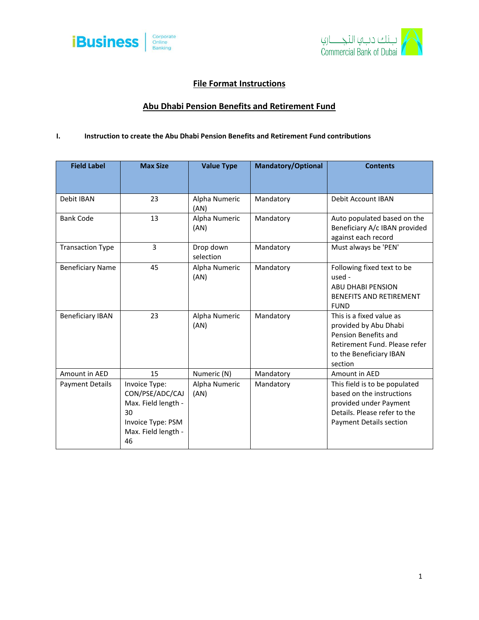



# **File Format Instructions**

# **Abu Dhabi Pension Benefits and Retirement Fund**

#### **I. Instruction to create the Abu Dhabi Pension Benefits and Retirement Fund contributions**

| <b>Field Label</b>      | <b>Max Size</b>                                                                                                 | <b>Value Type</b>      | <b>Mandatory/Optional</b> | <b>Contents</b>                                                                                                                                  |
|-------------------------|-----------------------------------------------------------------------------------------------------------------|------------------------|---------------------------|--------------------------------------------------------------------------------------------------------------------------------------------------|
|                         |                                                                                                                 |                        |                           |                                                                                                                                                  |
| Debit IBAN              | 23                                                                                                              | Alpha Numeric<br>(AN)  | Mandatory                 | Debit Account IBAN                                                                                                                               |
| <b>Bank Code</b>        | 13                                                                                                              | Alpha Numeric<br>(AN)  | Mandatory                 | Auto populated based on the<br>Beneficiary A/c IBAN provided<br>against each record                                                              |
| <b>Transaction Type</b> | 3                                                                                                               | Drop down<br>selection | Mandatory                 | Must always be 'PEN'                                                                                                                             |
| <b>Beneficiary Name</b> | 45                                                                                                              | Alpha Numeric<br>(AN)  | Mandatory                 | Following fixed text to be<br>used -<br><b>ABU DHABI PENSION</b><br><b>BENEFITS AND RETIREMENT</b><br><b>FUND</b>                                |
| <b>Beneficiary IBAN</b> | 23                                                                                                              | Alpha Numeric<br>(AN)  | Mandatory                 | This is a fixed value as<br>provided by Abu Dhabi<br>Pension Benefits and<br>Retirement Fund. Please refer<br>to the Beneficiary IBAN<br>section |
| Amount in AED           | 15                                                                                                              | Numeric (N)            | Mandatory                 | Amount in AED                                                                                                                                    |
| <b>Payment Details</b>  | Invoice Type:<br>CON/PSE/ADC/CAJ<br>Max. Field length -<br>30<br>Invoice Type: PSM<br>Max. Field length -<br>46 | Alpha Numeric<br>(AN)  | Mandatory                 | This field is to be populated<br>based on the instructions<br>provided under Payment<br>Details. Please refer to the<br>Payment Details section  |